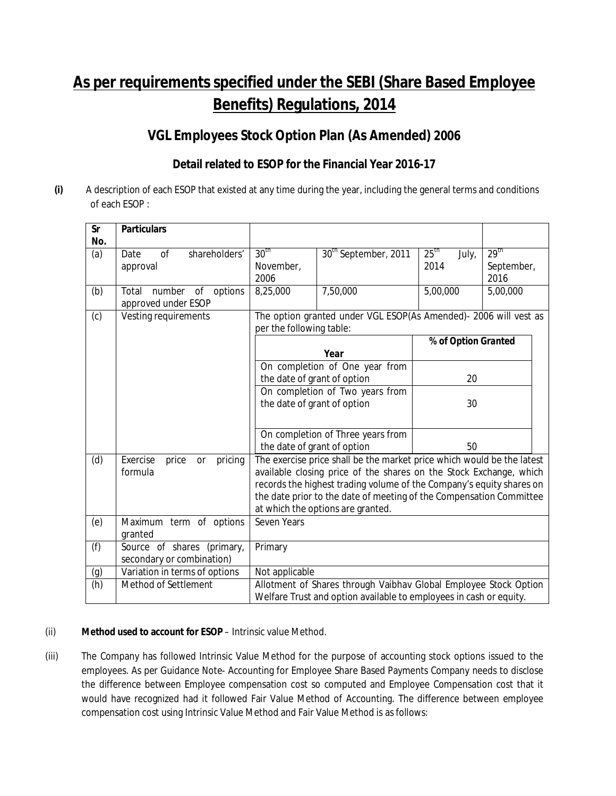# **As per requirements specified under the SEBI (Share Based Employee Benefits) Regulations, 2014**

# **VGL Employees Stock Option Plan (As Amended) 2006**

## **Detail related to ESOP for the Financial Year 2016-17**

**(i)** A description of each ESOP that existed at any time during the year, including the general terms and conditions of each ESOP :

| <b>Sr</b> | <b>Particulars</b>                                      |                                                                                                                                                                                                                                                                                                                                  |                                                                  |                                   |                                        |
|-----------|---------------------------------------------------------|----------------------------------------------------------------------------------------------------------------------------------------------------------------------------------------------------------------------------------------------------------------------------------------------------------------------------------|------------------------------------------------------------------|-----------------------------------|----------------------------------------|
| No.       |                                                         |                                                                                                                                                                                                                                                                                                                                  |                                                                  |                                   |                                        |
| (a)       | shareholders'<br><sub>of</sub><br>Date<br>approval      | 30 <sup>th</sup><br>November,<br>2006                                                                                                                                                                                                                                                                                            | 30 <sup>th</sup> September, 2011                                 | 25 <sup>th</sup><br>July,<br>2014 | 29 <sup>th</sup><br>September,<br>2016 |
| (b)       | options<br>Total<br>number<br>of<br>approved under ESOP | 8,25,000                                                                                                                                                                                                                                                                                                                         | 7,50,000                                                         | 5,00,000                          | 5,00,000                               |
| (c)       | Vesting requirements                                    | per the following table:                                                                                                                                                                                                                                                                                                         | The option granted under VGL ESOP(As Amended)- 2006 will vest as |                                   |                                        |
|           |                                                         |                                                                                                                                                                                                                                                                                                                                  | Year                                                             | % of Option Granted               |                                        |
|           |                                                         | the date of grant of option                                                                                                                                                                                                                                                                                                      | On completion of One year from                                   | 20                                |                                        |
|           |                                                         | the date of grant of option                                                                                                                                                                                                                                                                                                      | On completion of Two years from                                  | 30                                |                                        |
|           |                                                         | the date of grant of option                                                                                                                                                                                                                                                                                                      | On completion of Three years from                                | 50                                |                                        |
| (d)       | Exercise<br>pricing<br>price<br>or<br>formula           | The exercise price shall be the market price which would be the latest<br>available closing price of the shares on the Stock Exchange, which<br>records the highest trading volume of the Company's equity shares on<br>the date prior to the date of meeting of the Compensation Committee<br>at which the options are granted. |                                                                  |                                   |                                        |
| (e)       | Maximum term of options<br>granted                      | Seven Years                                                                                                                                                                                                                                                                                                                      |                                                                  |                                   |                                        |
| (f)       | Source of shares (primary,<br>secondary or combination) | Primary                                                                                                                                                                                                                                                                                                                          |                                                                  |                                   |                                        |
| (g)       | Variation in terms of options                           | Not applicable                                                                                                                                                                                                                                                                                                                   |                                                                  |                                   |                                        |
| (h)       | Method of Settlement                                    | Allotment of Shares through Vaibhav Global Employee Stock Option<br>Welfare Trust and option available to employees in cash or equity.                                                                                                                                                                                           |                                                                  |                                   |                                        |

#### (ii) **Method used to account for ESOP** – Intrinsic value Method.

(iii) The Company has followed Intrinsic Value Method for the purpose of accounting stock options issued to the employees. As per Guidance Note- Accounting for Employee Share Based Payments Company needs to disclose the difference between Employee compensation cost so computed and Employee Compensation cost that it would have recognized had it followed Fair Value Method of Accounting. The difference between employee compensation cost using Intrinsic Value Method and Fair Value Method is as follows: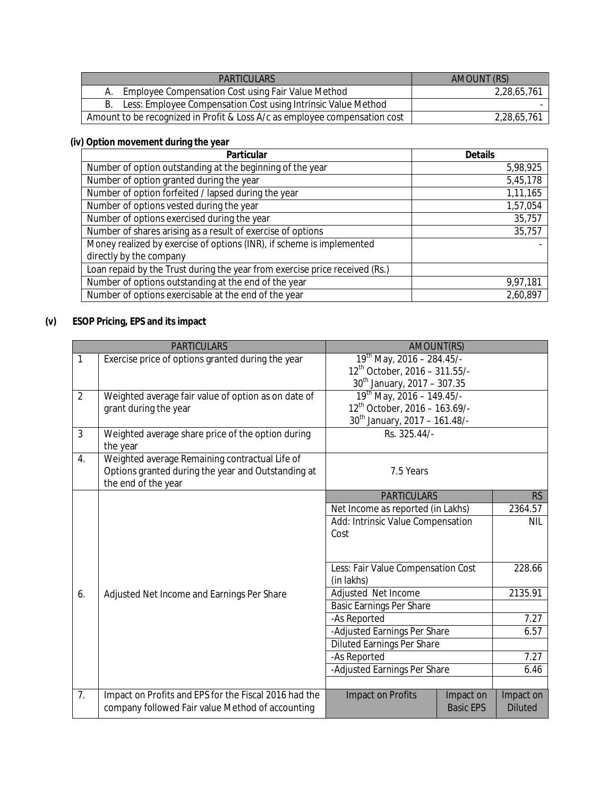| PARTICULARS                                                                | AMOUNT (RS) |
|----------------------------------------------------------------------------|-------------|
| Employee Compensation Cost using Fair Value Method                         | 2,28,65,761 |
| Less: Employee Compensation Cost using Intrinsic Value Method              |             |
| Amount to be recognized in Profit & Loss A/c as employee compensation cost | 2,28,65,761 |

#### **(iv) Option movement during the year**

| <b>Particular</b>                                                           | <b>Details</b> |
|-----------------------------------------------------------------------------|----------------|
| Number of option outstanding at the beginning of the year                   | 5,98,925       |
| Number of option granted during the year                                    | 5,45,178       |
| Number of option forfeited / lapsed during the year                         | 1,11,165       |
| Number of options vested during the year                                    | 1,57,054       |
| Number of options exercised during the year                                 | 35,757         |
| Number of shares arising as a result of exercise of options                 | 35,757         |
| Money realized by exercise of options (INR), if scheme is implemented       |                |
| directly by the company                                                     |                |
| Loan repaid by the Trust during the year from exercise price received (Rs.) |                |
| Number of options outstanding at the end of the year                        | 9,97,181       |
| Number of options exercisable at the end of the year                        | 2,60,897       |

#### **(v) ESOP Pricing, EPS and its impact**

|                | <b>PARTICULARS</b>                                            | AMOUNT(RS)                                       |                  |                |
|----------------|---------------------------------------------------------------|--------------------------------------------------|------------------|----------------|
| $\mathbf{1}$   | Exercise price of options granted during the year             | $19^{th}$ May, 2016 - 284.45/-                   |                  |                |
|                |                                                               | 12 <sup>th</sup> October, 2016 - 311.55/-        |                  |                |
|                |                                                               | $30^{th}$ January, 2017 – 307.35                 |                  |                |
| $\overline{2}$ | Weighted average fair value of option as on date of           | $19^{th}$ May, 2016 - 149.45/-                   |                  |                |
|                | grant during the year                                         | $12^{th}$ October, 2016 - 163.69/-               |                  |                |
|                |                                                               | 30 <sup>th</sup> January, 2017 - 161.48/-        |                  |                |
| $\overline{3}$ | Weighted average share price of the option during<br>the year | Rs. 325.44/-                                     |                  |                |
| 4.             | Weighted average Remaining contractual Life of                |                                                  |                  |                |
|                | Options granted during the year and Outstanding at            | 7.5 Years                                        |                  |                |
|                | the end of the year                                           |                                                  |                  |                |
|                |                                                               | <b>PARTICULARS</b>                               |                  | RS.            |
|                |                                                               | Net Income as reported (in Lakhs)                |                  | 2364.57        |
|                |                                                               | Add: Intrinsic Value Compensation<br>Cost        |                  | <b>NIL</b>     |
|                |                                                               |                                                  |                  |                |
|                |                                                               | Less: Fair Value Compensation Cost<br>(in lakhs) |                  | 228.66         |
| 6.             | Adjusted Net Income and Earnings Per Share                    | Adjusted Net Income                              |                  | 2135.91        |
|                |                                                               | Basic Earnings Per Share                         |                  |                |
|                |                                                               | -As Reported                                     |                  | 7.27           |
|                |                                                               | -Adjusted Earnings Per Share                     |                  | 6.57           |
|                |                                                               | <b>Diluted Earnings Per Share</b>                |                  |                |
|                |                                                               | -As Reported                                     |                  | 7.27           |
|                |                                                               | -Adjusted Earnings Per Share                     |                  | 6.46           |
|                |                                                               |                                                  |                  |                |
| 7 <sub>1</sub> | Impact on Profits and EPS for the Fiscal 2016 had the         | Impact on Profits                                | Impact on        | Impact on      |
|                | company followed Fair value Method of accounting              |                                                  | <b>Basic EPS</b> | <b>Diluted</b> |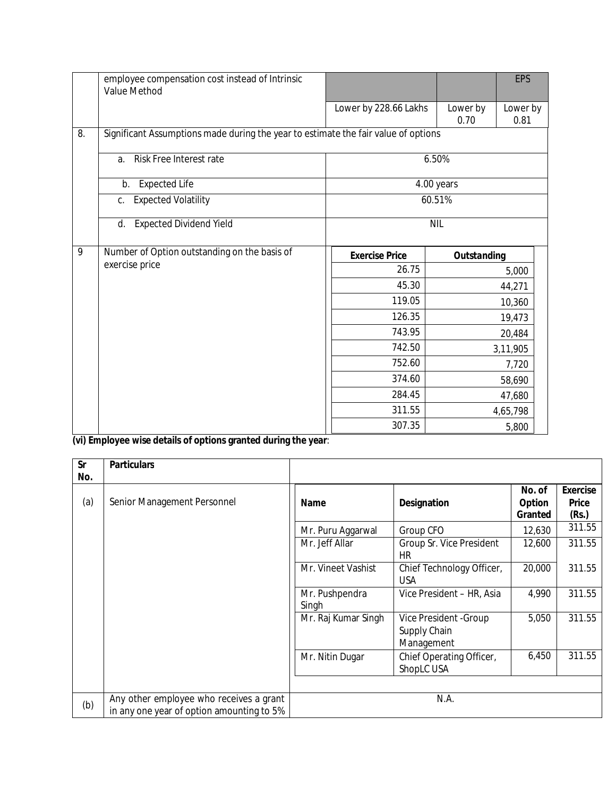|                  | employee compensation cost instead of Intrinsic<br>Value Method                    |                       |                    | EPS              |
|------------------|------------------------------------------------------------------------------------|-----------------------|--------------------|------------------|
|                  |                                                                                    | Lower by 228.66 Lakhs | Lower by<br>0.70   | Lower by<br>0.81 |
| $\overline{8}$ . | Significant Assumptions made during the year to estimate the fair value of options |                       |                    |                  |
|                  | Risk Free Interest rate<br>a.                                                      |                       | 6.50%              |                  |
|                  | <b>Expected Life</b><br>b.                                                         |                       | 4.00 years         |                  |
|                  | <b>Expected Volatility</b><br>C <sub>1</sub>                                       |                       | 60.51%             |                  |
|                  | <b>Expected Dividend Yield</b><br>d.                                               |                       | <b>NIL</b>         |                  |
| 9                | Number of Option outstanding on the basis of                                       | <b>Exercise Price</b> | <b>Outstanding</b> |                  |
|                  | exercise price                                                                     | 26.75                 |                    | 5,000            |
|                  |                                                                                    | 45.30                 |                    | 44,271           |
|                  |                                                                                    | 119.05                |                    | 10,360           |
|                  |                                                                                    | 126.35                |                    | 19,473           |
|                  |                                                                                    | 743.95                |                    | 20,484           |
|                  |                                                                                    | 742.50                |                    | 3,11,905         |
|                  |                                                                                    | 752.60                |                    | 7,720            |
|                  |                                                                                    | 374.60                |                    | 58,690           |
|                  |                                                                                    | 284.45                |                    | 47,680           |
|                  |                                                                                    | 311.55                |                    | 4,65,798         |
|                  |                                                                                    | 307.35                |                    | 5,800            |

**(vi) Employee wise details of options granted during the year**:

| <b>Sr</b>  | <b>Particulars</b>                                                                   |                         |                                                      |                             |                                          |
|------------|--------------------------------------------------------------------------------------|-------------------------|------------------------------------------------------|-----------------------------|------------------------------------------|
| No.<br>(a) | Senior Management Personnel                                                          | <b>Name</b>             | <b>Designation</b>                                   | No. of<br>Option<br>Granted | <b>Exercise</b><br><b>Price</b><br>(Rs.) |
|            |                                                                                      | Mr. Puru Aggarwal       | Group CFO                                            | 12,630                      | 311.55                                   |
|            |                                                                                      | Mr. Jeff Allar          | Group Sr. Vice President<br>HR                       | 12,600                      | 311.55                                   |
|            |                                                                                      | Mr. Vineet Vashist      | Chief Technology Officer,<br><b>USA</b>              | 20,000                      | 311.55                                   |
|            |                                                                                      | Mr. Pushpendra<br>Singh | Vice President - HR, Asia                            | 4,990                       | 311.55                                   |
|            |                                                                                      | Mr. Raj Kumar Singh     | Vice President - Group<br>Supply Chain<br>Management | 5,050                       | 311.55                                   |
|            |                                                                                      | Mr. Nitin Dugar         | Chief Operating Officer,<br>ShopLC USA               | 6,450                       | 311.55                                   |
|            |                                                                                      |                         |                                                      |                             |                                          |
| (b)        | Any other employee who receives a grant<br>in any one year of option amounting to 5% |                         | N.A.                                                 |                             |                                          |